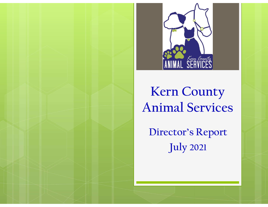

## Kern County Animal Services

Director's Report July 2021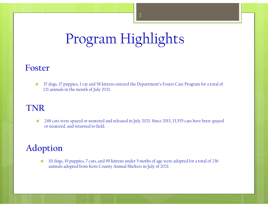# Program Highlights

#### Foster

 37 dogs, 17 puppies, 1 cat and 58 kittens entered the Department's Foster Care Program for a total of 121 animals in the month of July 2021.

#### TNR

<sup>o</sup> 248 cats were spayed or neutered and released in July 2021. Since 2013, 13,555 cats have been spayed or neutered, and returned to field.

#### Adoption

<sup>o</sup> III dogs, 19 puppies, 7 cats, and 99 kittens under 5 moths of age were adopted for a total of 236 animals adopted from Kern County Animal Shelters in July of 2021.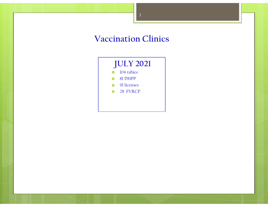#### Vaccination Clinics

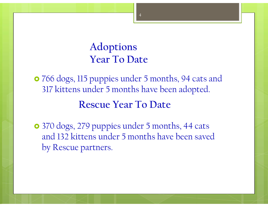### Adoptions Year To Date

 766 dogs, 115 puppies under 5 months, 94 cats and 317 kittens under 5 months have been adopted.

#### Rescue Year To Date

 370 dogs, 279 puppies under 5 months, 44 cats and 132 kittens under 5 months have been saved by Rescue partners.